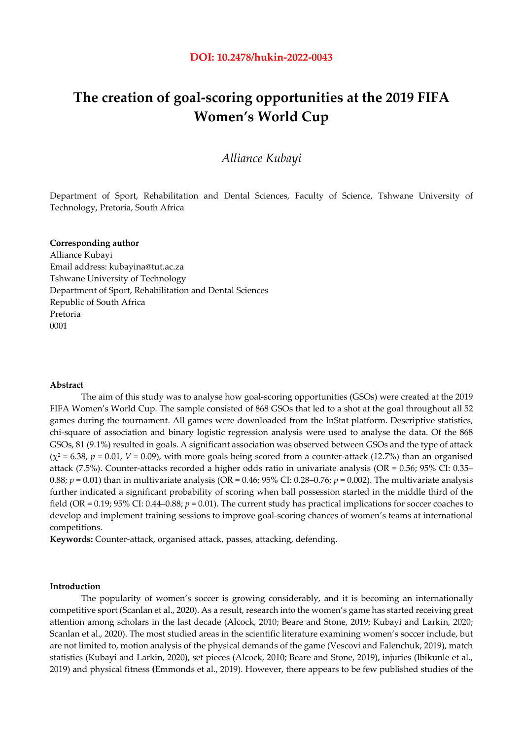# **The creation of goal-scoring opportunities at the 2019 FIFA Women's World Cup**

# *Alliance Kubayi*

Department of Sport, Rehabilitation and Dental Sciences, Faculty of Science, Tshwane University of Technology, Pretoria, South Africa

#### **Corresponding author**

Alliance Kubayi Email address: kubayina@tut.ac.za Tshwane University of Technology Department of Sport, Rehabilitation and Dental Sciences Republic of South Africa Pretoria 0001

# **Abstract**

The aim of this study was to analyse how goal-scoring opportunities (GSOs) were created at the 2019 FIFA Women's World Cup. The sample consisted of 868 GSOs that led to a shot at the goal throughout all 52 games during the tournament. All games were downloaded from the InStat platform. Descriptive statistics, chi-square of association and binary logistic regression analysis were used to analyse the data. Of the 868 GSOs, 81 (9.1%) resulted in goals. A significant association was observed between GSOs and the type of attack  $(\chi^2 = 6.38, p = 0.01, V = 0.09)$ , with more goals being scored from a counter-attack (12.7%) than an organised attack (7.5%). Counter-attacks recorded a higher odds ratio in univariate analysis (OR =  $0.56$ ; 95% CI: 0.35– 0.88; *p* = 0.01) than in multivariate analysis (OR = 0.46; 95% CI: 0.28–0.76; *p* = 0.002). The multivariate analysis further indicated a significant probability of scoring when ball possession started in the middle third of the field (OR = 0.19; 95% CI: 0.44–0.88; *p* = 0.01). The current study has practical implications for soccer coaches to develop and implement training sessions to improve goal-scoring chances of women's teams at international competitions.

**Keywords:** Counter-attack, organised attack, passes, attacking, defending.

## **Introduction**

The popularity of women's soccer is growing considerably, and it is becoming an internationally competitive sport (Scanlan et al., 2020). As a result, research into the women's game has started receiving great attention among scholars in the last decade (Alcock, 2010; Beare and Stone, 2019; Kubayi and Larkin, 2020; Scanlan et al., 2020). The most studied areas in the scientific literature examining women's soccer include, but are not limited to, motion analysis of the physical demands of the game (Vescovi and Falenchuk, 2019), match statistics (Kubayi and Larkin, 2020), set pieces (Alcock, 2010; Beare and Stone, 2019), injuries (Ibikunle et al., 2019) and physical fitness **(**Emmonds et al., 2019). However, there appears to be few published studies of the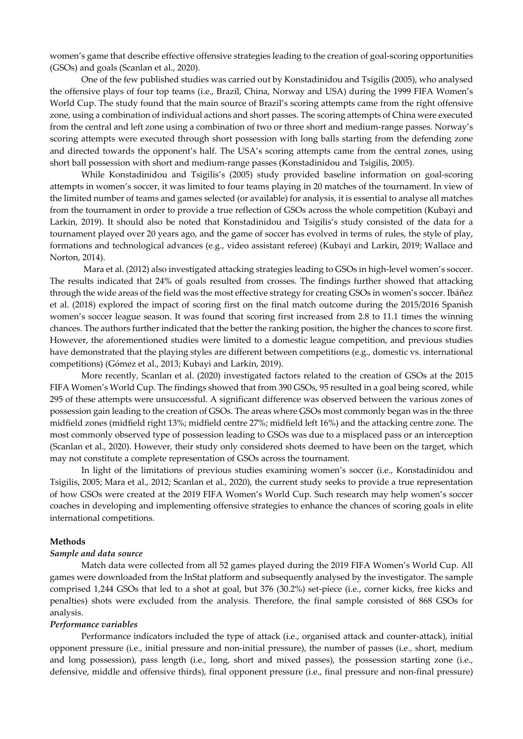women's game that describe effective offensive strategies leading to the creation of goal-scoring opportunities (GSOs) and goals (Scanlan et al., 2020).

One of the few published studies was carried out by Konstadinidou and Tsigilis (2005), who analysed the offensive plays of four top teams (i.e., Brazil, China, Norway and USA) during the 1999 FIFA Women's World Cup. The study found that the main source of Brazil's scoring attempts came from the right offensive zone, using a combination of individual actions and short passes. The scoring attempts of China were executed from the central and left zone using a combination of two or three short and medium-range passes. Norway's scoring attempts were executed through short possession with long balls starting from the defending zone and directed towards the opponent's half. The USA's scoring attempts came from the central zones, using short ball possession with short and medium-range passes (Konstadinidou and Tsigilis, 2005).

While Konstadinidou and Tsigilis's (2005) study provided baseline information on goal-scoring attempts in women's soccer, it was limited to four teams playing in 20 matches of the tournament. In view of the limited number of teams and games selected (or available) for analysis, it is essential to analyse all matches from the tournament in order to provide a true reflection of GSOs across the whole competition (Kubayi and Larkin, 2019). It should also be noted that Konstadinidou and Tsigilis's study consisted of the data for a tournament played over 20 years ago, and the game of soccer has evolved in terms of rules, the style of play, formations and technological advances (e.g., video assistant referee) (Kubayi and Larkin, 2019; Wallace and Norton, 2014).

 Mara et al. (2012) also investigated attacking strategies leading to GSOs in high-level women's soccer. The results indicated that 24% of goals resulted from crosses. The findings further showed that attacking through the wide areas of the field was the most effective strategy for creating GSOs in women's soccer. Ibáñez et al. (2018) explored the impact of scoring first on the final match outcome during the 2015/2016 Spanish women's soccer league season. It was found that scoring first increased from 2.8 to 11.1 times the winning chances. The authors further indicated that the better the ranking position, the higher the chances to score first. However, the aforementioned studies were limited to a domestic league competition, and previous studies have demonstrated that the playing styles are different between competitions (e.g., domestic vs. international competitions) (Gómez et al., 2013; Kubayi and Larkin, 2019).

 More recently, Scanlan et al. (2020) investigated factors related to the creation of GSOs at the 2015 FIFA Women's World Cup. The findings showed that from 390 GSOs, 95 resulted in a goal being scored, while 295 of these attempts were unsuccessful. A significant difference was observed between the various zones of possession gain leading to the creation of GSOs. The areas where GSOs most commonly began was in the three midfield zones (midfield right 13%; midfield centre 27%; midfield left 16%) and the attacking centre zone. The most commonly observed type of possession leading to GSOs was due to a misplaced pass or an interception (Scanlan et al., 2020). However, their study only considered shots deemed to have been on the target, which may not constitute a complete representation of GSOs across the tournament.

 In light of the limitations of previous studies examining women's soccer (i.e., Konstadinidou and Tsigilis, 2005; Mara et al., 2012; Scanlan et al., 2020), the current study seeks to provide a true representation of how GSOs were created at the 2019 FIFA Women's World Cup. Such research may help women's soccer coaches in developing and implementing offensive strategies to enhance the chances of scoring goals in elite international competitions.

# **Methods**

# *Sample and data source*

Match data were collected from all 52 games played during the 2019 FIFA Women's World Cup. All games were downloaded from the InStat platform and subsequently analysed by the investigator. The sample comprised 1,244 GSOs that led to a shot at goal, but 376 (30.2%) set-piece (i.e., corner kicks, free kicks and penalties) shots were excluded from the analysis. Therefore, the final sample consisted of 868 GSOs for analysis.

#### *Performance variables*

Performance indicators included the type of attack (i.e., organised attack and counter-attack), initial opponent pressure (i.e., initial pressure and non-initial pressure), the number of passes (i.e., short, medium and long possession), pass length (i.e., long, short and mixed passes), the possession starting zone (i.e., defensive, middle and offensive thirds), final opponent pressure (i.e., final pressure and non-final pressure)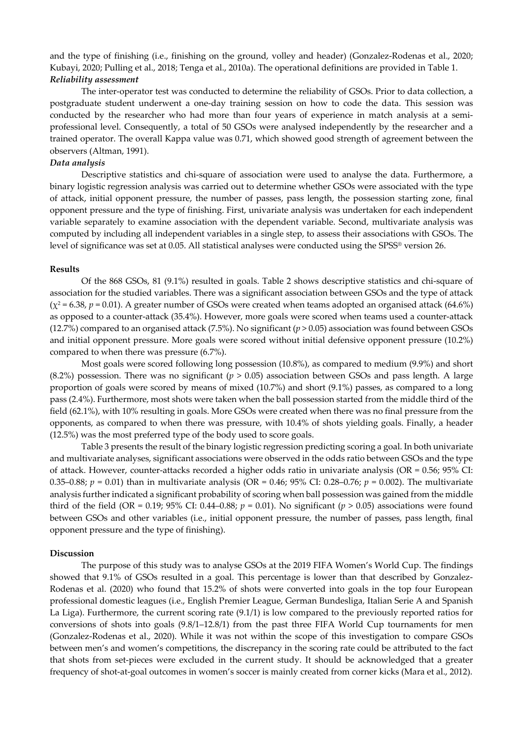and the type of finishing (i.e., finishing on the ground, volley and header) (Gonzalez-Rodenas et al., 2020; Kubayi, 2020; Pulling et al., 2018; Tenga et al., 2010a). The operational definitions are provided in Table 1. *Reliability assessment* 

The inter-operator test was conducted to determine the reliability of GSOs. Prior to data collection, a postgraduate student underwent a one-day training session on how to code the data. This session was conducted by the researcher who had more than four years of experience in match analysis at a semiprofessional level. Consequently, a total of 50 GSOs were analysed independently by the researcher and a trained operator. The overall Kappa value was 0.71, which showed good strength of agreement between the observers (Altman, 1991).

#### *Data analysis*

Descriptive statistics and chi-square of association were used to analyse the data. Furthermore, a binary logistic regression analysis was carried out to determine whether GSOs were associated with the type of attack, initial opponent pressure, the number of passes, pass length, the possession starting zone, final opponent pressure and the type of finishing. First, univariate analysis was undertaken for each independent variable separately to examine association with the dependent variable. Second, multivariate analysis was computed by including all independent variables in a single step, to assess their associations with GSOs. The level of significance was set at 0.05. All statistical analyses were conducted using the SPSS® version 26.

# **Results**

Of the 868 GSOs, 81 (9.1%) resulted in goals. Table 2 shows descriptive statistics and chi-square of association for the studied variables. There was a significant association between GSOs and the type of attack  $(\chi^2 = 6.38, p = 0.01)$ . A greater number of GSOs were created when teams adopted an organised attack (64.6%) as opposed to a counter-attack (35.4%). However, more goals were scored when teams used a counter-attack (12.7%) compared to an organised attack (7.5%). No significant ( $p > 0.05$ ) association was found between GSOs and initial opponent pressure. More goals were scored without initial defensive opponent pressure (10.2%) compared to when there was pressure (6.7%).

Most goals were scored following long possession (10.8%), as compared to medium (9.9%) and short (8.2%) possession. There was no significant ( $p > 0.05$ ) association between GSOs and pass length. A large proportion of goals were scored by means of mixed (10.7%) and short (9.1%) passes, as compared to a long pass (2.4%). Furthermore, most shots were taken when the ball possession started from the middle third of the field (62.1%), with 10% resulting in goals. More GSOs were created when there was no final pressure from the opponents, as compared to when there was pressure, with 10.4% of shots yielding goals. Finally, a header (12.5%) was the most preferred type of the body used to score goals.

Table 3 presents the result of the binary logistic regression predicting scoring a goal. In both univariate and multivariate analyses, significant associations were observed in the odds ratio between GSOs and the type of attack. However, counter-attacks recorded a higher odds ratio in univariate analysis (OR = 0.56; 95% CI: 0.35–0.88; *p* = 0.01) than in multivariate analysis (OR = 0.46; 95% CI: 0.28–0.76; *p* = 0.002). The multivariate analysis further indicated a significant probability of scoring when ball possession was gained from the middle third of the field (OR = 0.19; 95% CI: 0.44–0.88;  $p = 0.01$ ). No significant ( $p > 0.05$ ) associations were found between GSOs and other variables (i.e., initial opponent pressure, the number of passes, pass length, final opponent pressure and the type of finishing).

# **Discussion**

The purpose of this study was to analyse GSOs at the 2019 FIFA Women's World Cup. The findings showed that 9.1% of GSOs resulted in a goal. This percentage is lower than that described by Gonzalez-Rodenas et al. (2020) who found that 15.2% of shots were converted into goals in the top four European professional domestic leagues (i.e., English Premier League, German Bundesliga, Italian Serie A and Spanish La Liga). Furthermore, the current scoring rate (9.1/1) is low compared to the previously reported ratios for conversions of shots into goals (9.8/1–12.8/1) from the past three FIFA World Cup tournaments for men (Gonzalez-Rodenas et al., 2020). While it was not within the scope of this investigation to compare GSOs between men's and women's competitions, the discrepancy in the scoring rate could be attributed to the fact that shots from set-pieces were excluded in the current study. It should be acknowledged that a greater frequency of shot-at-goal outcomes in women's soccer is mainly created from corner kicks (Mara et al., 2012).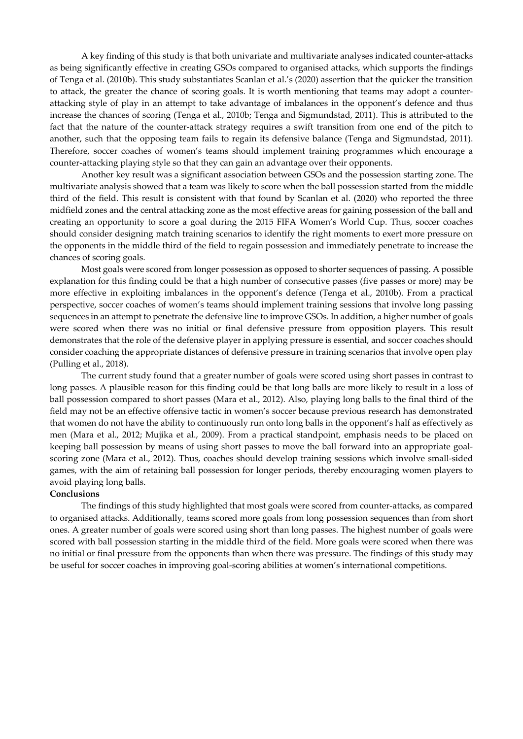A key finding of this study is that both univariate and multivariate analyses indicated counter-attacks as being significantly effective in creating GSOs compared to organised attacks, which supports the findings of Tenga et al. (2010b). This study substantiates Scanlan et al.'s (2020) assertion that the quicker the transition to attack, the greater the chance of scoring goals. It is worth mentioning that teams may adopt a counterattacking style of play in an attempt to take advantage of imbalances in the opponent's defence and thus increase the chances of scoring (Tenga et al., 2010b; Tenga and Sigmundstad, 2011). This is attributed to the fact that the nature of the counter-attack strategy requires a swift transition from one end of the pitch to another, such that the opposing team fails to regain its defensive balance (Tenga and Sigmundstad, 2011). Therefore, soccer coaches of women's teams should implement training programmes which encourage a counter-attacking playing style so that they can gain an advantage over their opponents.

 Another key result was a significant association between GSOs and the possession starting zone. The multivariate analysis showed that a team was likely to score when the ball possession started from the middle third of the field. This result is consistent with that found by Scanlan et al. (2020) who reported the three midfield zones and the central attacking zone as the most effective areas for gaining possession of the ball and creating an opportunity to score a goal during the 2015 FIFA Women's World Cup. Thus, soccer coaches should consider designing match training scenarios to identify the right moments to exert more pressure on the opponents in the middle third of the field to regain possession and immediately penetrate to increase the chances of scoring goals.

 Most goals were scored from longer possession as opposed to shorter sequences of passing. A possible explanation for this finding could be that a high number of consecutive passes (five passes or more) may be more effective in exploiting imbalances in the opponent's defence (Tenga et al., 2010b). From a practical perspective, soccer coaches of women's teams should implement training sessions that involve long passing sequences in an attempt to penetrate the defensive line to improve GSOs. In addition, a higher number of goals were scored when there was no initial or final defensive pressure from opposition players. This result demonstrates that the role of the defensive player in applying pressure is essential, and soccer coaches should consider coaching the appropriate distances of defensive pressure in training scenarios that involve open play (Pulling et al., 2018).

 The current study found that a greater number of goals were scored using short passes in contrast to long passes. A plausible reason for this finding could be that long balls are more likely to result in a loss of ball possession compared to short passes (Mara et al., 2012). Also, playing long balls to the final third of the field may not be an effective offensive tactic in women's soccer because previous research has demonstrated that women do not have the ability to continuously run onto long balls in the opponent's half as effectively as men (Mara et al., 2012; Mujika et al., 2009). From a practical standpoint, emphasis needs to be placed on keeping ball possession by means of using short passes to move the ball forward into an appropriate goalscoring zone (Mara et al., 2012). Thus, coaches should develop training sessions which involve small-sided games, with the aim of retaining ball possession for longer periods, thereby encouraging women players to avoid playing long balls.

# **Conclusions**

The findings of this study highlighted that most goals were scored from counter-attacks, as compared to organised attacks. Additionally, teams scored more goals from long possession sequences than from short ones. A greater number of goals were scored using short than long passes. The highest number of goals were scored with ball possession starting in the middle third of the field. More goals were scored when there was no initial or final pressure from the opponents than when there was pressure. The findings of this study may be useful for soccer coaches in improving goal-scoring abilities at women's international competitions.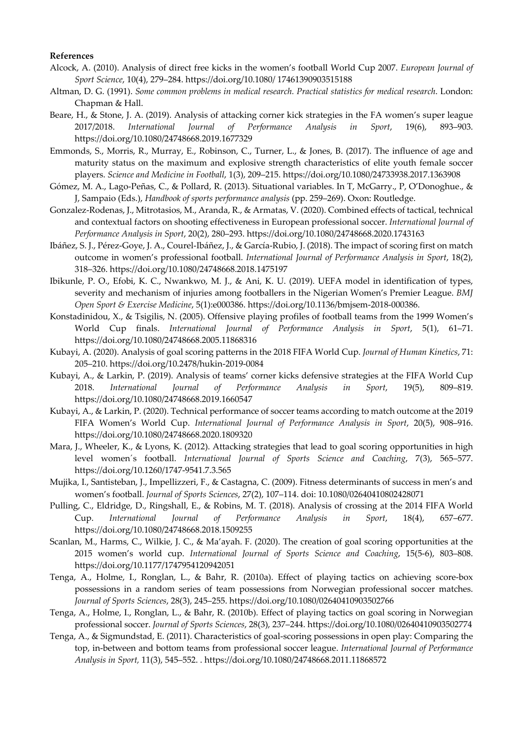## **References**

- Alcock, A. (2010). Analysis of direct free kicks in the women's football World Cup 2007. *European Journal of Sport Science*, 10(4), 279–284. https://doi.org/10.1080/ 17461390903515188
- Altman, D. G. (1991). *Some common problems in medical research. Practical statistics for medical research*. London: Chapman & Hall.
- Beare, H., & Stone, J. A. (2019). Analysis of attacking corner kick strategies in the FA women's super league 2017/2018. *International Journal of Performance Analysis in Sport*, 19(6), 893–903. https://doi.org/10.1080/24748668.2019.1677329
- Emmonds, S., Morris, R., Murray, E., Robinson, C., Turner, L., & Jones, B. (2017). The influence of age and maturity status on the maximum and explosive strength characteristics of elite youth female soccer players. *Science and Medicine in Football*, 1(3), 209–215. https://doi.org/10.1080/24733938.2017.1363908
- Gómez, M. A., Lago-Peñas, C., & Pollard, R. (2013). Situational variables. In T, McGarry., P, O'Donoghue., & J, Sampaio (Eds.), *Handbook of sports performance analysis* (pp. 259–269). Oxon: Routledge.
- Gonzalez-Rodenas, J., Mitrotasios, M., Aranda, R., & Armatas, V. (2020). Combined effects of tactical, technical and contextual factors on shooting effectiveness in European professional soccer. *International Journal of Performance Analysis in Sport*, 20(2), 280–293. https://doi.org/10.1080/24748668.2020.1743163
- Ibáñez, S. J., Pérez-Goye, J. A., Courel-Ibáñez, J., & García-Rubio, J. (2018). The impact of scoring first on match outcome in women's professional football. *International Journal of Performance Analysis in Sport*, 18(2), 318–326. https://doi.org/10.1080/24748668.2018.1475197
- Ibikunle, P. O., Efobi, K. C., Nwankwo, M. J., & Ani, K. U. (2019). UEFA model in identification of types, severity and mechanism of injuries among footballers in the Nigerian Women's Premier League. *BMJ Open Sport & Exercise Medicine*, 5(1):e000386. https://doi.org/10.1136/bmjsem-2018-000386.
- Konstadinidou, X., & Tsigilis, N. (2005). Offensive playing profiles of football teams from the 1999 Women's World Cup finals. *International Journal of Performance Analysis in Sport*, 5(1), 61–71. https://doi.org/10.1080/24748668.2005.11868316
- Kubayi, A. (2020). Analysis of goal scoring patterns in the 2018 FIFA World Cup. *Journal of Human Kinetics*, 71: 205–210. https://doi.org/10.2478/hukin-2019-0084
- Kubayi, A., & Larkin, P. (2019). Analysis of teams' corner kicks defensive strategies at the FIFA World Cup 2018. *International Journal of Performance Analysis in Sport*, 19(5), 809–819. https://doi.org/10.1080/24748668.2019.1660547
- Kubayi, A., & Larkin, P. (2020). Technical performance of soccer teams according to match outcome at the 2019 FIFA Women's World Cup. *International Journal of Performance Analysis in Sport*, 20(5), 908–916. https://doi.org/10.1080/24748668.2020.1809320
- Mara, J., Wheeler, K., & Lyons, K. (2012). Attacking strategies that lead to goal scoring opportunities in high level women´s football. *International Journal of Sports Science and Coaching*, 7(3), 565–577. https://doi.org/10.1260/1747-9541.7.3.565
- Mujika, I., Santisteban, J., Impellizzeri, F., & Castagna, C. (2009). Fitness determinants of success in men's and women's football. *Journal of Sports Sciences*, 27(2), 107–114. doi: 10.1080/02640410802428071
- Pulling, C., Eldridge, D., Ringshall, E., & Robins, M. T. (2018). Analysis of crossing at the 2014 FIFA World Cup. *International Journal of Performance Analysis in Sport*, 18(4), 657–677. https://doi.org/10.1080/24748668.2018.1509255
- Scanlan, M., Harms, C., Wilkie, J. C., & Ma'ayah. F. (2020). The creation of goal scoring opportunities at the 2015 women's world cup. *International Journal of Sports Science and Coaching*, 15(5-6), 803–808. https://doi.org/10.1177/1747954120942051
- Tenga, A., Holme, I., Ronglan, L., & Bahr, R. (2010a). Effect of playing tactics on achieving score-box possessions in a random series of team possessions from Norwegian professional soccer matches. *Journal of Sports Sciences*, 28(3), 245–255. https://doi.org/10.1080/02640410903502766
- Tenga, A., Holme, I., Ronglan, L., & Bahr, R. (2010b). Effect of playing tactics on goal scoring in Norwegian professional soccer. *Journal of Sports Sciences*, 28(3), 237–244. https://doi.org/10.1080/02640410903502774
- Tenga, A., & Sigmundstad, E. (2011). Characteristics of goal-scoring possessions in open play: Comparing the top, in-between and bottom teams from professional soccer league. *International Journal of Performance Analysis in Sport,* 11(3), 545–552. . https://doi.org/10.1080/24748668.2011.11868572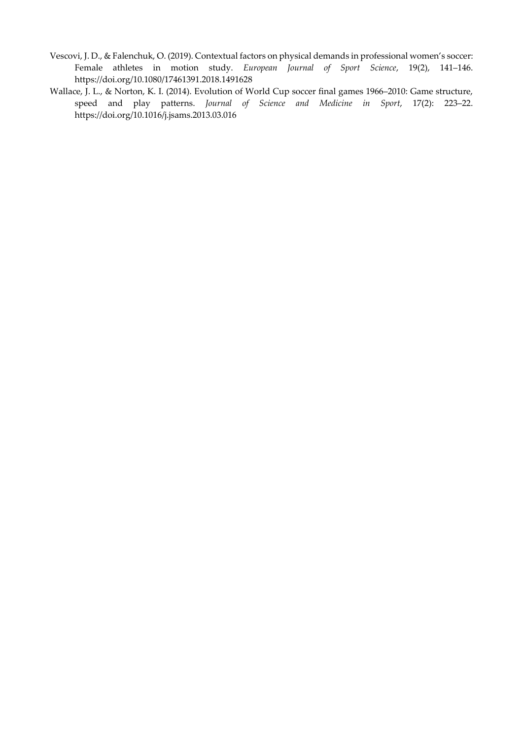- Vescovi, J. D., & Falenchuk, O. (2019). Contextual factors on physical demands in professional women's soccer: Female athletes in motion study. *European Journal of Sport Science*, 19(2), 141–146. https://doi.org/10.1080/17461391.2018.1491628
- Wallace, J. L., & Norton, K. I. (2014). Evolution of World Cup soccer final games 1966–2010: Game structure, speed and play patterns. *Journal of Science and Medicine in Sport*, 17(2): 223–22. https://doi.org/10.1016/j.jsams.2013.03.016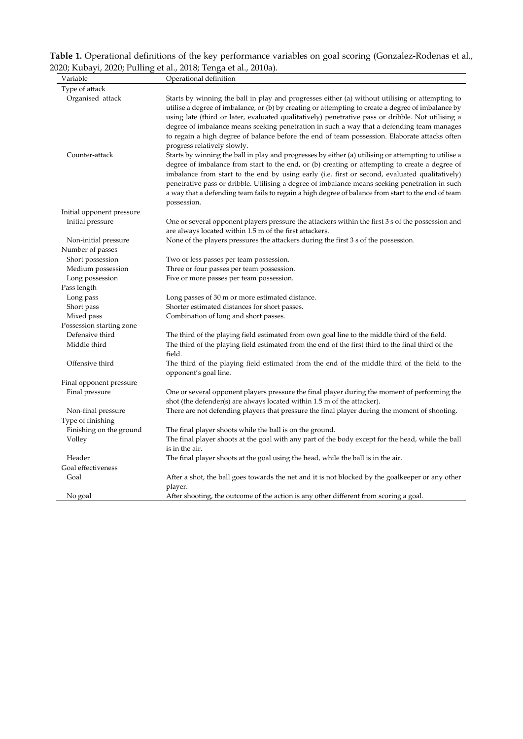| Table 1. Operational definitions of the key performance variables on goal scoring (Gonzalez-Rodenas et al., |
|-------------------------------------------------------------------------------------------------------------|
| 2020; Kubayi, 2020; Pulling et al., 2018; Tenga et al., 2010a).                                             |

| Variable                           | Operational definition                                                                                                                                                                                                                                                                                                                                                                                                                                                                                                                                                                                                                                                                                                                                                                                                                                                                                                                                                                                                                                      |  |  |  |  |  |  |
|------------------------------------|-------------------------------------------------------------------------------------------------------------------------------------------------------------------------------------------------------------------------------------------------------------------------------------------------------------------------------------------------------------------------------------------------------------------------------------------------------------------------------------------------------------------------------------------------------------------------------------------------------------------------------------------------------------------------------------------------------------------------------------------------------------------------------------------------------------------------------------------------------------------------------------------------------------------------------------------------------------------------------------------------------------------------------------------------------------|--|--|--|--|--|--|
| Type of attack                     |                                                                                                                                                                                                                                                                                                                                                                                                                                                                                                                                                                                                                                                                                                                                                                                                                                                                                                                                                                                                                                                             |  |  |  |  |  |  |
| Organised attack<br>Counter-attack | Starts by winning the ball in play and progresses either (a) without utilising or attempting to<br>utilise a degree of imbalance, or (b) by creating or attempting to create a degree of imbalance by<br>using late (third or later, evaluated qualitatively) penetrative pass or dribble. Not utilising a<br>degree of imbalance means seeking penetration in such a way that a defending team manages<br>to regain a high degree of balance before the end of team possession. Elaborate attacks often<br>progress relatively slowly.<br>Starts by winning the ball in play and progresses by either (a) utilising or attempting to utilise a<br>degree of imbalance from start to the end, or (b) creating or attempting to create a degree of<br>imbalance from start to the end by using early (i.e. first or second, evaluated qualitatively)<br>penetrative pass or dribble. Utilising a degree of imbalance means seeking penetration in such<br>a way that a defending team fails to regain a high degree of balance from start to the end of team |  |  |  |  |  |  |
|                                    | possession.                                                                                                                                                                                                                                                                                                                                                                                                                                                                                                                                                                                                                                                                                                                                                                                                                                                                                                                                                                                                                                                 |  |  |  |  |  |  |
| Initial opponent pressure          |                                                                                                                                                                                                                                                                                                                                                                                                                                                                                                                                                                                                                                                                                                                                                                                                                                                                                                                                                                                                                                                             |  |  |  |  |  |  |
| Initial pressure                   | One or several opponent players pressure the attackers within the first 3 s of the possession and<br>are always located within 1.5 m of the first attackers.                                                                                                                                                                                                                                                                                                                                                                                                                                                                                                                                                                                                                                                                                                                                                                                                                                                                                                |  |  |  |  |  |  |
| Non-initial pressure               | None of the players pressures the attackers during the first 3 s of the possession.                                                                                                                                                                                                                                                                                                                                                                                                                                                                                                                                                                                                                                                                                                                                                                                                                                                                                                                                                                         |  |  |  |  |  |  |
| Number of passes                   |                                                                                                                                                                                                                                                                                                                                                                                                                                                                                                                                                                                                                                                                                                                                                                                                                                                                                                                                                                                                                                                             |  |  |  |  |  |  |
| Short possession                   | Two or less passes per team possession.                                                                                                                                                                                                                                                                                                                                                                                                                                                                                                                                                                                                                                                                                                                                                                                                                                                                                                                                                                                                                     |  |  |  |  |  |  |
| Medium possession                  | Three or four passes per team possession.                                                                                                                                                                                                                                                                                                                                                                                                                                                                                                                                                                                                                                                                                                                                                                                                                                                                                                                                                                                                                   |  |  |  |  |  |  |
| Long possession                    | Five or more passes per team possession.                                                                                                                                                                                                                                                                                                                                                                                                                                                                                                                                                                                                                                                                                                                                                                                                                                                                                                                                                                                                                    |  |  |  |  |  |  |
| Pass length                        |                                                                                                                                                                                                                                                                                                                                                                                                                                                                                                                                                                                                                                                                                                                                                                                                                                                                                                                                                                                                                                                             |  |  |  |  |  |  |
| Long pass                          | Long passes of 30 m or more estimated distance.                                                                                                                                                                                                                                                                                                                                                                                                                                                                                                                                                                                                                                                                                                                                                                                                                                                                                                                                                                                                             |  |  |  |  |  |  |
| Short pass                         | Shorter estimated distances for short passes.                                                                                                                                                                                                                                                                                                                                                                                                                                                                                                                                                                                                                                                                                                                                                                                                                                                                                                                                                                                                               |  |  |  |  |  |  |
| Mixed pass                         | Combination of long and short passes.                                                                                                                                                                                                                                                                                                                                                                                                                                                                                                                                                                                                                                                                                                                                                                                                                                                                                                                                                                                                                       |  |  |  |  |  |  |
| Possession starting zone           |                                                                                                                                                                                                                                                                                                                                                                                                                                                                                                                                                                                                                                                                                                                                                                                                                                                                                                                                                                                                                                                             |  |  |  |  |  |  |
| Defensive third<br>Middle third    | The third of the playing field estimated from own goal line to the middle third of the field.<br>The third of the playing field estimated from the end of the first third to the final third of the                                                                                                                                                                                                                                                                                                                                                                                                                                                                                                                                                                                                                                                                                                                                                                                                                                                         |  |  |  |  |  |  |
|                                    | field.                                                                                                                                                                                                                                                                                                                                                                                                                                                                                                                                                                                                                                                                                                                                                                                                                                                                                                                                                                                                                                                      |  |  |  |  |  |  |
| Offensive third                    | The third of the playing field estimated from the end of the middle third of the field to the<br>opponent's goal line.                                                                                                                                                                                                                                                                                                                                                                                                                                                                                                                                                                                                                                                                                                                                                                                                                                                                                                                                      |  |  |  |  |  |  |
| Final opponent pressure            |                                                                                                                                                                                                                                                                                                                                                                                                                                                                                                                                                                                                                                                                                                                                                                                                                                                                                                                                                                                                                                                             |  |  |  |  |  |  |
| Final pressure                     | One or several opponent players pressure the final player during the moment of performing the<br>shot (the defender(s) are always located within 1.5 m of the attacker).                                                                                                                                                                                                                                                                                                                                                                                                                                                                                                                                                                                                                                                                                                                                                                                                                                                                                    |  |  |  |  |  |  |
| Non-final pressure                 | There are not defending players that pressure the final player during the moment of shooting.                                                                                                                                                                                                                                                                                                                                                                                                                                                                                                                                                                                                                                                                                                                                                                                                                                                                                                                                                               |  |  |  |  |  |  |
| Type of finishing                  |                                                                                                                                                                                                                                                                                                                                                                                                                                                                                                                                                                                                                                                                                                                                                                                                                                                                                                                                                                                                                                                             |  |  |  |  |  |  |
| Finishing on the ground            | The final player shoots while the ball is on the ground.                                                                                                                                                                                                                                                                                                                                                                                                                                                                                                                                                                                                                                                                                                                                                                                                                                                                                                                                                                                                    |  |  |  |  |  |  |
| Volley                             | The final player shoots at the goal with any part of the body except for the head, while the ball<br>is in the air.                                                                                                                                                                                                                                                                                                                                                                                                                                                                                                                                                                                                                                                                                                                                                                                                                                                                                                                                         |  |  |  |  |  |  |
| Header                             | The final player shoots at the goal using the head, while the ball is in the air.                                                                                                                                                                                                                                                                                                                                                                                                                                                                                                                                                                                                                                                                                                                                                                                                                                                                                                                                                                           |  |  |  |  |  |  |
| Goal effectiveness                 |                                                                                                                                                                                                                                                                                                                                                                                                                                                                                                                                                                                                                                                                                                                                                                                                                                                                                                                                                                                                                                                             |  |  |  |  |  |  |
| Goal                               | After a shot, the ball goes towards the net and it is not blocked by the goalkeeper or any other<br>player.                                                                                                                                                                                                                                                                                                                                                                                                                                                                                                                                                                                                                                                                                                                                                                                                                                                                                                                                                 |  |  |  |  |  |  |
| No goal                            | After shooting, the outcome of the action is any other different from scoring a goal.                                                                                                                                                                                                                                                                                                                                                                                                                                                                                                                                                                                                                                                                                                                                                                                                                                                                                                                                                                       |  |  |  |  |  |  |